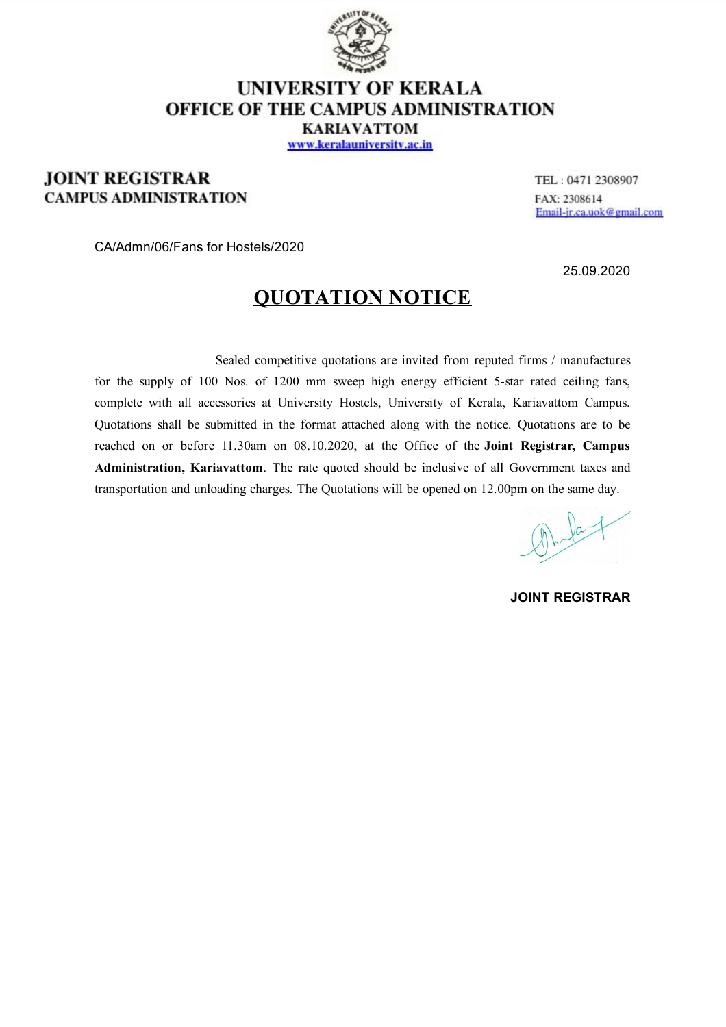

### **UNIVERSITY OF KERALA OFFICE OF THE CAMPUS ADMINISTRATION KARIAVATTOM**

www.keralauniversity.ac.in

### **JOINT REGISTRAR CAMPUS ADMINISTRATION**

TEL: 0471 2308907 FAX: 2308614 Email-jr.ca.uok@gmail.com

CA/Admn/06/Fans for Hostels/2020

25.09.2020

## **QUOTATION NOTICE**

Sealed competitive quotations are invited from reputed firms / manufactures for the supply of 100 Nos. of 1200 mm sweep high energy efficient 5-star rated ceiling fans, complete with all accessories at University Hostels, University of Kerala, Kariavattom Campus. Quotations shall be submitted in the format attached along with the notice. Quotations are to be reached on or before 11.30am on 08.10.2020, at the Office of the **Joint Registrar, Campus Administration, Kariavattom**. The rate quoted should be inclusive of all Government taxes and transportation and unloading charges. The Quotations will be opened on 12.00pm on the same day.

 $\frac{1}{2}$ 

**JOINT REGISTRAR**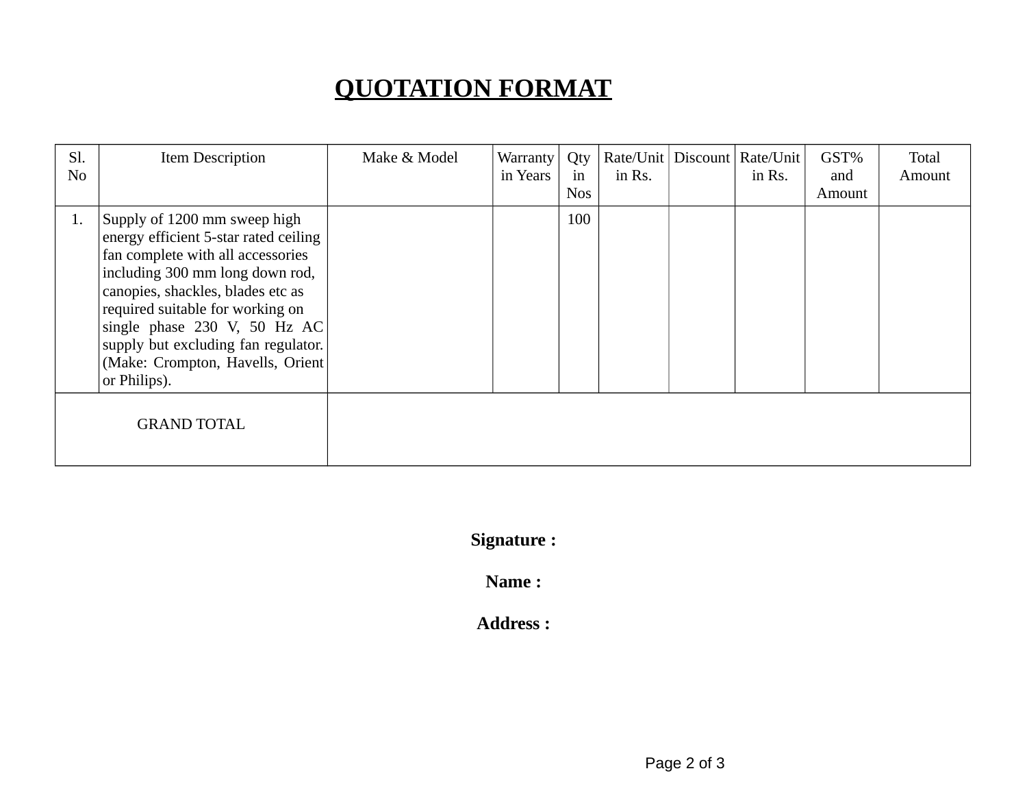# **QUOTATION FORMAT**

| Sl.<br>No          | Item Description                                                                                                                                                                                                                                                                                                                                  | Make & Model | Warranty<br>in Years | Qty<br>in<br><b>Nos</b> | in Rs. | Rate/Unit   Discount   Rate/Unit  <br>in Rs. | GST%<br>and<br>Amount | Total<br>Amount |
|--------------------|---------------------------------------------------------------------------------------------------------------------------------------------------------------------------------------------------------------------------------------------------------------------------------------------------------------------------------------------------|--------------|----------------------|-------------------------|--------|----------------------------------------------|-----------------------|-----------------|
| 1.                 | Supply of 1200 mm sweep high<br>energy efficient 5-star rated ceiling<br>fan complete with all accessories<br>including 300 mm long down rod,<br>canopies, shackles, blades etc as<br>required suitable for working on<br>single phase 230 V, 50 Hz AC<br>supply but excluding fan regulator.<br>(Make: Crompton, Havells, Orient<br>or Philips). |              |                      | 100                     |        |                                              |                       |                 |
| <b>GRAND TOTAL</b> |                                                                                                                                                                                                                                                                                                                                                   |              |                      |                         |        |                                              |                       |                 |

**Signature :**

**Name :**

**Address :**